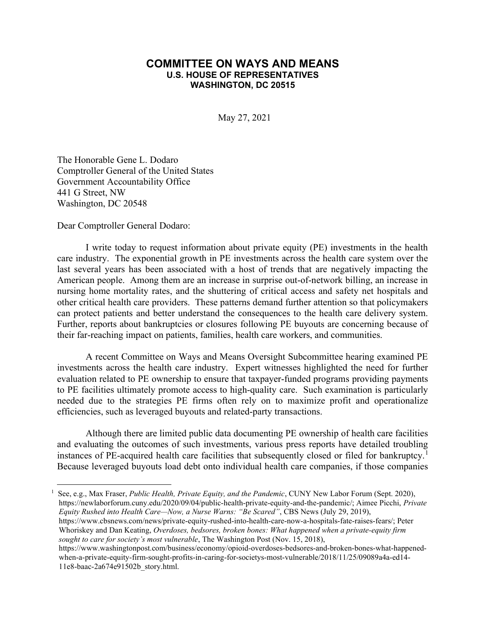## COMMITTEE ON WAYS AND MEANS U.S. HOUSE OF REPRESENTATIVES WASHINGTON, DC 20515

May 27, 2021

The Honorable Gene L. Dodaro Comptroller General of the United States Government Accountability Office 441 G Street, NW Washington, DC 20548

Dear Comptroller General Dodaro:

I write today to request information about private equity (PE) investments in the health care industry. The exponential growth in PE investments across the health care system over the last several years has been associated with a host of trends that are negatively impacting the American people. Among them are an increase in surprise out-of-network billing, an increase in nursing home mortality rates, and the shuttering of critical access and safety net hospitals and other critical health care providers. These patterns demand further attention so that policymakers can protect patients and better understand the consequences to the health care delivery system. Further, reports about bankruptcies or closures following PE buyouts are concerning because of their far-reaching impact on patients, families, health care workers, and communities.

A recent Committee on Ways and Means Oversight Subcommittee hearing examined PE investments across the health care industry. Expert witnesses highlighted the need for further evaluation related to PE ownership to ensure that taxpayer-funded programs providing payments to PE facilities ultimately promote access to high-quality care. Such examination is particularly needed due to the strategies PE firms often rely on to maximize profit and operationalize efficiencies, such as leveraged buyouts and related-party transactions.

Although there are limited public data documenting PE ownership of health care facilities and evaluating the outcomes of such investments, various press reports have detailed troubling instances of PE-acquired health care facilities that subsequently closed or filed for bankruptcy.<sup>1</sup> Because leveraged buyouts load debt onto individual health care companies, if those companies

<sup>1</sup> See, e.g., Max Fraser, *Public Health, Private Equity, and the Pandemic*, CUNY New Labor Forum (Sept. 2020), https://newlaborforum.cuny.edu/2020/09/04/public-health-private-equity-and-the-pandemic/; Aimee Picchi, Private Equity Rushed into Health Care—Now, a Nurse Warns: "Be Scared", CBS News (July 29, 2019), https://www.cbsnews.com/news/private-equity-rushed-into-health-care-now-a-hospitals-fate-raises-fears/; Peter Whoriskey and Dan Keating, Overdoses, bedsores, broken bones: What happened when a private-equity firm sought to care for society's most vulnerable, The Washington Post (Nov. 15, 2018), https://www.washingtonpost.com/business/economy/opioid-overdoses-bedsores-and-broken-bones-what-happened-

when-a-private-equity-firm-sought-profits-in-caring-for-societys-most-vulnerable/2018/11/25/09089a4a-ed14- 11e8-baac-2a674e91502b\_story.html.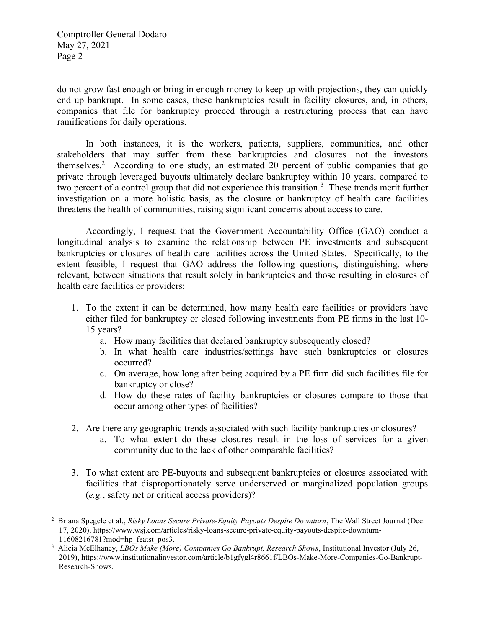Comptroller General Dodaro May 27, 2021 Page 2

do not grow fast enough or bring in enough money to keep up with projections, they can quickly end up bankrupt. In some cases, these bankruptcies result in facility closures, and, in others, companies that file for bankruptcy proceed through a restructuring process that can have ramifications for daily operations.

In both instances, it is the workers, patients, suppliers, communities, and other stakeholders that may suffer from these bankruptcies and closures—not the investors themselves.<sup>2</sup> According to one study, an estimated 20 percent of public companies that go private through leveraged buyouts ultimately declare bankruptcy within 10 years, compared to two percent of a control group that did not experience this transition.<sup>3</sup> These trends merit further investigation on a more holistic basis, as the closure or bankruptcy of health care facilities threatens the health of communities, raising significant concerns about access to care.

Accordingly, I request that the Government Accountability Office (GAO) conduct a longitudinal analysis to examine the relationship between PE investments and subsequent bankruptcies or closures of health care facilities across the United States. Specifically, to the extent feasible, I request that GAO address the following questions, distinguishing, where relevant, between situations that result solely in bankruptcies and those resulting in closures of health care facilities or providers:

- 1. To the extent it can be determined, how many health care facilities or providers have either filed for bankruptcy or closed following investments from PE firms in the last 10- 15 years?
	- a. How many facilities that declared bankruptcy subsequently closed?
	- b. In what health care industries/settings have such bankruptcies or closures occurred?
	- c. On average, how long after being acquired by a PE firm did such facilities file for bankruptcy or close?
	- d. How do these rates of facility bankruptcies or closures compare to those that occur among other types of facilities?
- 2. Are there any geographic trends associated with such facility bankruptcies or closures?
	- a. To what extent do these closures result in the loss of services for a given community due to the lack of other comparable facilities?
- 3. To what extent are PE-buyouts and subsequent bankruptcies or closures associated with facilities that disproportionately serve underserved or marginalized population groups (e.g., safety net or critical access providers)?

<sup>&</sup>lt;sup>2</sup> Briana Spegele et al., Risky Loans Secure Private-Equity Payouts Despite Downturn, The Wall Street Journal (Dec. 17, 2020), https://www.wsj.com/articles/risky-loans-secure-private-equity-payouts-despite-downturn-11608216781?mod=hp\_featst\_pos3.

<sup>&</sup>lt;sup>3</sup> Alicia McElhaney, LBOs Make (More) Companies Go Bankrupt, Research Shows, Institutional Investor (July 26, 2019), https://www.institutionalinvestor.com/article/b1gfygl4r8661f/LBOs-Make-More-Companies-Go-Bankrupt-Research-Shows.